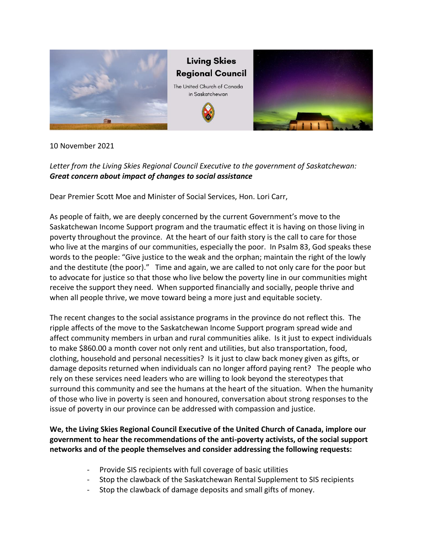

10 November 2021

## *Letter from the Living Skies Regional Council Executive to the government of Saskatchewan: Great concern about impact of changes to social assistance*

Dear Premier Scott Moe and Minister of Social Services, Hon. Lori Carr,

As people of faith, we are deeply concerned by the current Government's move to the Saskatchewan Income Support program and the traumatic effect it is having on those living in poverty throughout the province. At the heart of our faith story is the call to care for those who live at the margins of our communities, especially the poor. In Psalm 83, God speaks these words to the people: "Give justice to the weak and the orphan; maintain the right of the lowly and the destitute (the poor)." Time and again, we are called to not only care for the poor but to advocate for justice so that those who live below the poverty line in our communities might receive the support they need. When supported financially and socially, people thrive and when all people thrive, we move toward being a more just and equitable society.

The recent changes to the social assistance programs in the province do not reflect this. The ripple affects of the move to the Saskatchewan Income Support program spread wide and affect community members in urban and rural communities alike. Is it just to expect individuals to make \$860.00 a month cover not only rent and utilities, but also transportation, food, clothing, household and personal necessities? Is it just to claw back money given as gifts, or damage deposits returned when individuals can no longer afford paying rent? The people who rely on these services need leaders who are willing to look beyond the stereotypes that surround this community and see the humans at the heart of the situation. When the humanity of those who live in poverty is seen and honoured, conversation about strong responses to the issue of poverty in our province can be addressed with compassion and justice.

**We, the Living Skies Regional Council Executive of the United Church of Canada, implore our government to hear the recommendations of the anti-poverty activists, of the social support networks and of the people themselves and consider addressing the following requests:**

- Provide SIS recipients with full coverage of basic utilities
- Stop the clawback of the Saskatchewan Rental Supplement to SIS recipients
- Stop the clawback of damage deposits and small gifts of money.